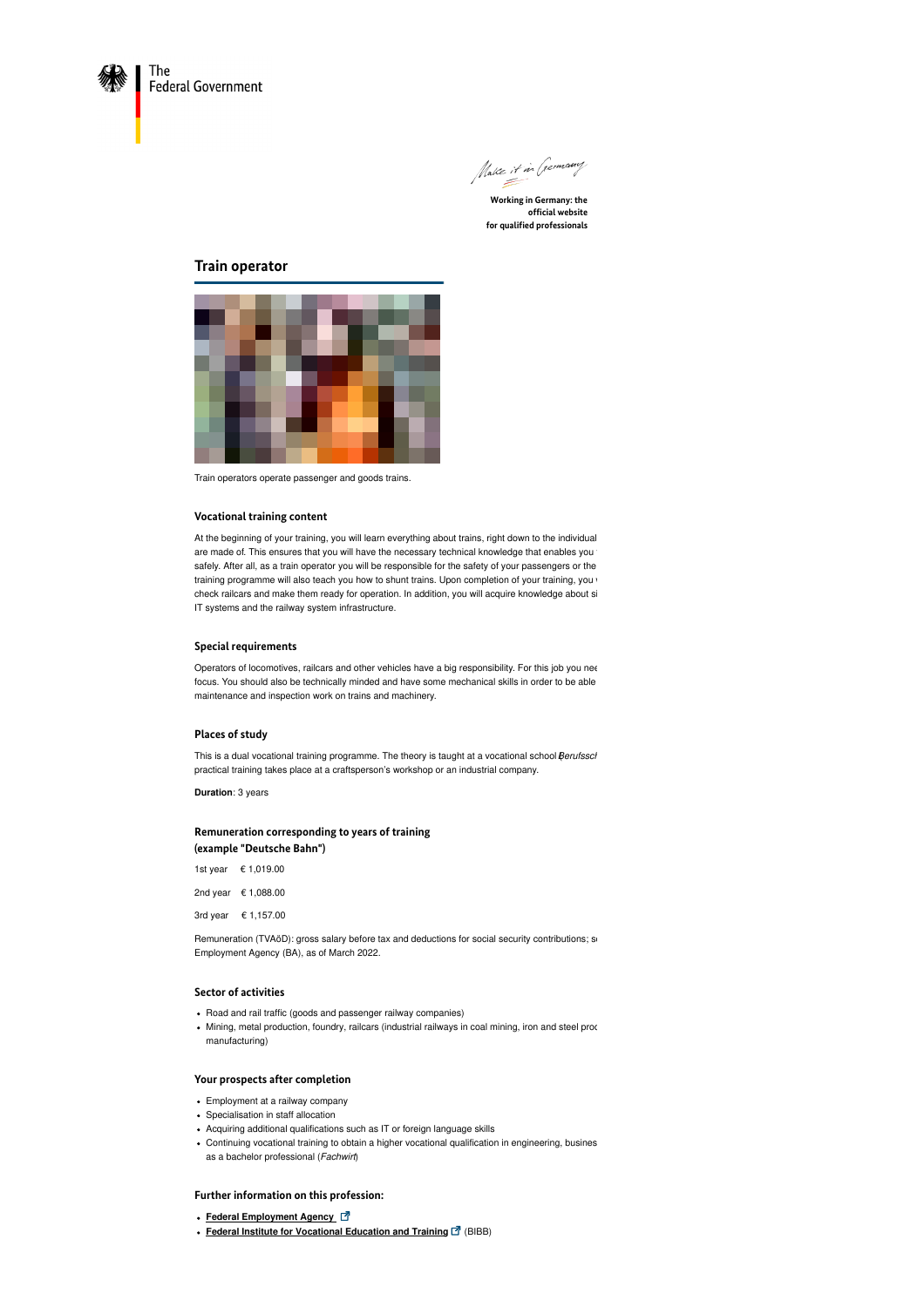

Make it in (sermany

**Working in Germany: the official website for qualified professionals**

# **Train operator**



Train operators operate passenger and goods trains.

### **Vocational training content**

At the beginning of your training, you will learn everything about trains, right down to the individual are made of. This ensures that you will have the necessary technical knowledge that enables you t safely. After all, as a train operator you will be responsible for the safety of your passengers or the training programme will also teach you how to shunt trains. Upon completion of your training, you will also teach you how to shunt trains. Upon completion of your training, you check railcars and make them ready for operation. In addition, you will acquire knowledge about si IT systems and the railway system infrastructure.

## **Special requirements**

Operators of locomotives, railcars and other vehicles have a big responsibility. For this job you nee focus. You should also be technically minded and have some mechanical skills in order to be able maintenance and inspection work on trains and machinery.

#### **Places of study**

This is a dual vocational training programme. The theory is taught at a vocational school *Berufssch* practical training takes place at a craftsperson's workshop or an industrial company.

**Duration**: 3 years

## **Remuneration corresponding to years of training (example "Deutsche Bahn")**

| 1st year € 1,019.00 |
|---------------------|
| 2nd year € 1,088.00 |
| 3rd year € 1,157.00 |

Remuneration (TVAöD): gross salary before tax and deductions for social security contributions; so Employment Agency (BA), as of March 2022.

## **Sector of activities**

- Road and rail traffic (goods and passenger railway companies)
- Mining, metal production, foundry, railcars (industrial railways in coal mining, iron and steel prod manufacturing)

### **Your prospects after completion**

- Employment at a railway company
- Specialisation in staff allocation
- Acquiring additional qualifications such as IT or foreign language skills
- Continuing vocational training to obtain a higher vocational qualification in engineering, busines as a bachelor professional (*Fachwirt*)

## **Further information on this profession:**

- **Federal [Employment](https://berufenet.arbeitsagentur.de/berufenet/faces/index?path=null/kurzbeschreibung&dkz=7111) Agency**
- **Federal Institute for [Vocational](https://www.bibb.de/de/berufeinfo.php/profile/apprenticeship/76zt85iu) Education and Training** (BIBB)